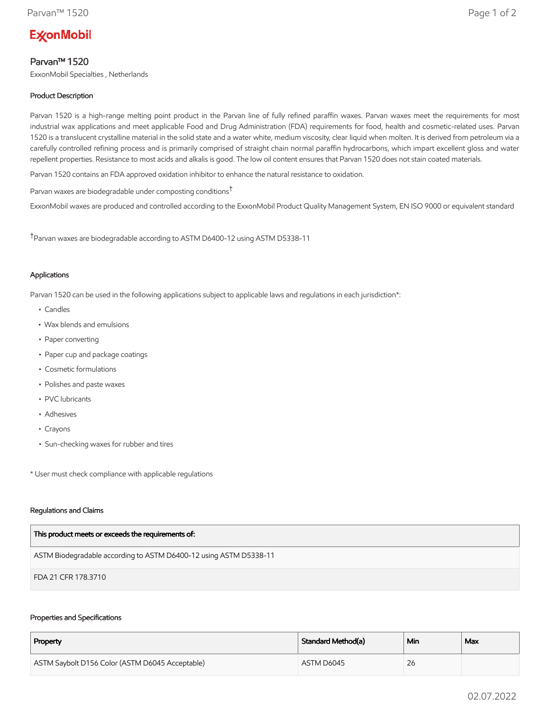# **ExconMobil**

# Parvan™ 1520

ExxonMobil Specialties , Netherlands

## Product Description

Parvan 1520 is a high-range melting point product in the Parvan line of fully refined paraffin waxes. Parvan waxes meet the requirements for most industrial wax applications and meet applicable Food and Drug Administration (FDA) requirements for food, health and cosmetic-related uses. Parvan 1520 is a translucent crystalline material in the solid state and a water white, medium viscosity, clear liquid when molten. It is derived from petroleum via a carefully controlled refining process and is primarily comprised of straight chain normal paraffin hydrocarbons, which impart excellent gloss and water repellent properties. Resistance to most acids and alkalis is good. The low oil content ensures that Parvan 1520 does not stain coated materials.

Parvan 1520 contains an FDA approved oxidation inhibitor to enhance the natural resistance to oxidation.

Parvan waxes are biodegradable under composting conditions†

ExxonMobil waxes are produced and controlled according to the ExxonMobil Product Quality Management System, EN ISO 9000 or equivalent standard

†Parvan waxes are biodegradable according to ASTM D6400-12 using ASTM D5338-11

### Applications

Parvan 1520 can be used in the following applications subject to applicable laws and regulations in each jurisdiction\*:

- Candles
- Wax blends and emulsions
- Paper converting
- Paper cup and package coatings
- Cosmetic formulations
- Polishes and paste waxes
- PVC lubricants
- Adhesives
- Crayons
- Sun-checking waxes for rubber and tires

\* User must check compliance with applicable regulations

#### Regulations and Claims

| This product meets or exceeds the requirements of:                |
|-------------------------------------------------------------------|
| ASTM Biodegradable according to ASTM D6400-12 using ASTM D5338-11 |
| FDA 21 CFR 178.3710                                               |

#### Properties and Specifications

| Property                                        | Standard Method(a) | Min | Max |
|-------------------------------------------------|--------------------|-----|-----|
| ASTM Saybolt D156 Color (ASTM D6045 Acceptable) | ASTM D6045         | 26  |     |